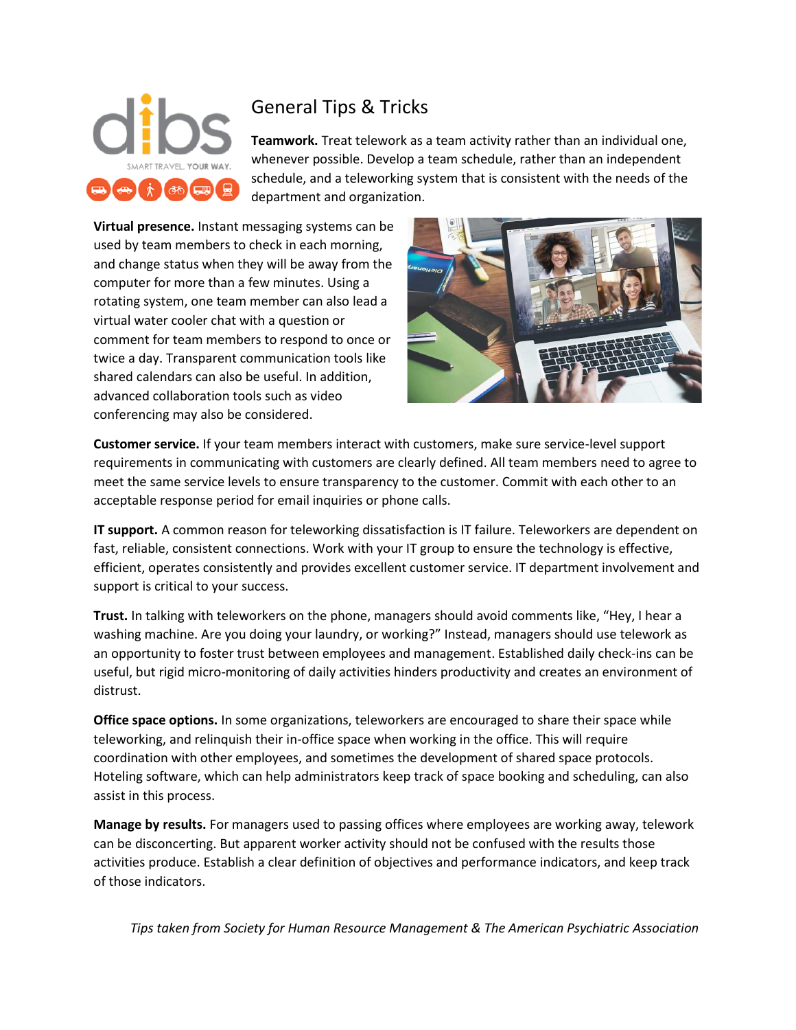

## General Tips & Tricks

**Teamwork.** Treat telework as a team activity rather than an individual one, whenever possible. Develop a team schedule, rather than an independent schedule, and a teleworking system that is consistent with the needs of the department and organization.

**Virtual presence.** Instant messaging systems can be used by team members to check in each morning, and change status when they will be away from the computer for more than a few minutes. Using a rotating system, one team member can also lead a virtual water cooler chat with a question or comment for team members to respond to once or twice a day. Transparent communication tools like shared calendars can also be useful. In addition, advanced collaboration tools such as video conferencing may also be considered.



**Customer service.** If your team members interact with customers, make sure service-level support requirements in communicating with customers are clearly defined. All team members need to agree to meet the same service levels to ensure transparency to the customer. Commit with each other to an acceptable response period for email inquiries or phone calls.

**IT support.** A common reason for teleworking dissatisfaction is IT failure. Teleworkers are dependent on fast, reliable, consistent connections. Work with your IT group to ensure the technology is effective, efficient, operates consistently and provides excellent customer service. IT department involvement and support is critical to your success.

**Trust.** In talking with teleworkers on the phone, managers should avoid comments like, "Hey, I hear a washing machine. Are you doing your laundry, or working?" Instead, managers should use telework as an opportunity to foster trust between employees and management. Established daily check-ins can be useful, but rigid micro-monitoring of daily activities hinders productivity and creates an environment of distrust.

**Office space options.** In some organizations, teleworkers are encouraged to share their space while teleworking, and relinquish their in-office space when working in the office. This will require coordination with other employees, and sometimes the development of shared space protocols. Hoteling software, which can help administrators keep track of space booking and scheduling, can also assist in this process.

**Manage by results.** For managers used to passing offices where employees are working away, telework can be disconcerting. But apparent worker activity should not be confused with the results those activities produce. Establish a clear definition of objectives and performance indicators, and keep track of those indicators.

*Tips taken from Society for Human Resource Management & The American Psychiatric Association*